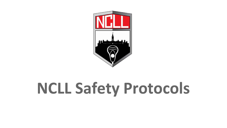

# **NCLL Safety Protocols**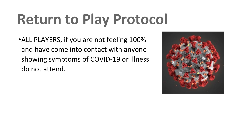# **Return to Play Protocol**

•ALL PLAYERS, if you are not feeling 100% and have come into contact with anyone showing symptoms of COVID-19 or illness do not attend.

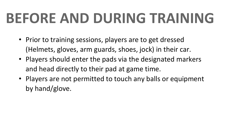## **BEFORE AND DURING TRAINING**

- Prior to training sessions, players are to get dressed (Helmets, gloves, arm guards, shoes, jock) in their car.
- Players should enter the pads via the designated markers and head directly to their pad at game time.
- Players are not permitted to touch any balls or equipment by hand/glove.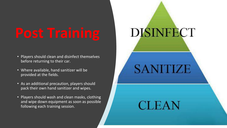- Players should clean and disinfect themselves before returning to their car.
- Where available, hand sanitizer will be provided at the fields.
- As an additional precaution, players should pack their own hand sanitizer and wipes.
- Players should wash and clean masks, clothing and wipe down equipment as soon as possible following each training session.

# **DISINFECT**

**SANITIZE** 

**CLEAN**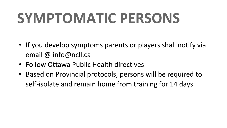## **SYMPTOMATIC PERSONS**

- If you develop symptoms parents or players shall notify via email @ info@ncll.ca
- Follow Ottawa Public Health directives
- Based on Provincial protocols, persons will be required to self-isolate and remain home from training for 14 days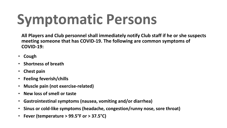## **Symptomatic Persons**

**All Players and Club personnel shall immediately notify Club staff if he or she suspects meeting someone that has COVID-19. The following are common symptoms of COVID-19:**

- ∙ **Cough**
- ∙ **Shortness of breath**
- ∙ **Chest pain**
- ∙ **Feeling feverish/chills**
- ∙ **Muscle pain (not exercise-related)**
- ∙ **New loss of smell or taste**
- ∙ **Gastrointestinal symptoms (nausea, vomiting and/or diarrhea)**
- ∙ **Sinus or cold-like symptoms (headache, congestion/runny nose, sore throat)**
- ∙ **Fever (temperature > 99.5°F or > 37.5°C)**